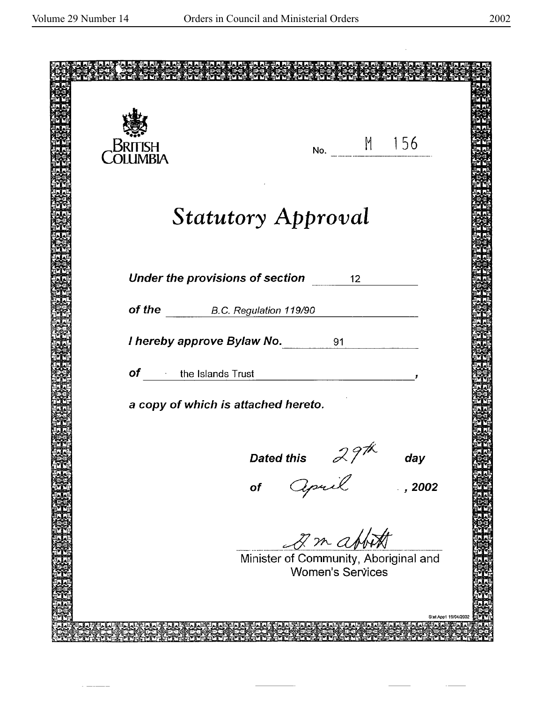$\sim$   $\sim$   $\sim$  $\overline{a}$   $\bar{z}$ 

 $\overline{\phantom{a}}$ 

 $\ddot{\phantom{a}}$ 

| <b>BRI</b><br>ISH<br><b>DLUMBIA</b>          | No. M 156                                                        |
|----------------------------------------------|------------------------------------------------------------------|
|                                              |                                                                  |
|                                              |                                                                  |
| <b>Statutory Approval</b>                    |                                                                  |
|                                              |                                                                  |
| Under the provisions of section 12           |                                                                  |
| of the B.C. Regulation 119/90                |                                                                  |
| I hereby approve Bylaw No. 91                |                                                                  |
|                                              |                                                                  |
| $of$ the Islands Trust                       |                                                                  |
| a copy of which is attached hereto.          |                                                                  |
|                                              |                                                                  |
|                                              | day                                                              |
| Dated this $\frac{1}{2}$<br>of <i>Cepuil</i> | , 2002                                                           |
|                                              |                                                                  |
|                                              | 2 m abbott                                                       |
|                                              | Minister of Community, Aboriginal and<br><b>Women's Services</b> |
|                                              |                                                                  |
|                                              | Stat App1 19/04/2002                                             |
|                                              |                                                                  |